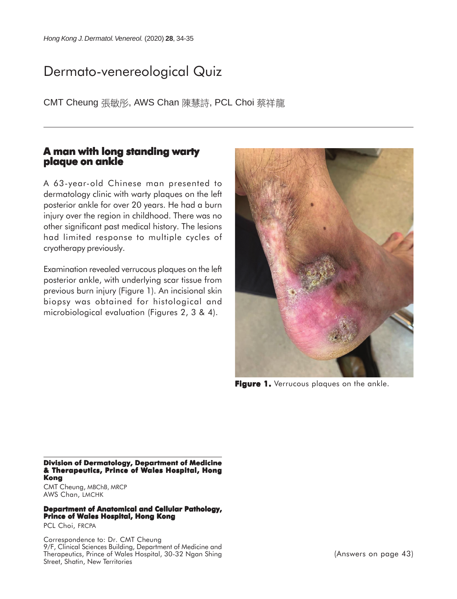## Dermato-venereological Quiz

CMT Cheung 張敏彤, AWS Chan 陳慧詩, PCL Choi 蔡祥龍

## **A man with long standing warty plaque on ankle**

A 63-year-old Chinese man presented to dermatology clinic with warty plaques on the left posterior ankle for over 20 years. He had a burn injury over the region in childhood. There was no other significant past medical history. The lesions had limited response to multiple cycles of cryotherapy previously.

Examination revealed verrucous plaques on the left posterior ankle, with underlying scar tissue from previous burn injury (Figure 1). An incisional skin biopsy was obtained for histological and microbiological evaluation (Figures 2, 3 & 4).



**Figure 1.** Verrucous plaques on the ankle.

**Division of Dermatology, Department of Medicine & Therapeutics, Prince of Wales Hospital, Hong Kong**

CMT Cheung, MBChB, MRCP AWS Chan, LMCHK

## **Department of Anatomical and Cellular Pathology, Prince of Wales Hospital, Hong Kong**

PCL Choi, FRCPA

Correspondence to: Dr. CMT Cheung 9/F, Clinical Sciences Building, Department of Medicine and Therapeutics, Prince of Wales Hospital, 30-32 Ngan Shing Street, Shatin, New Territories